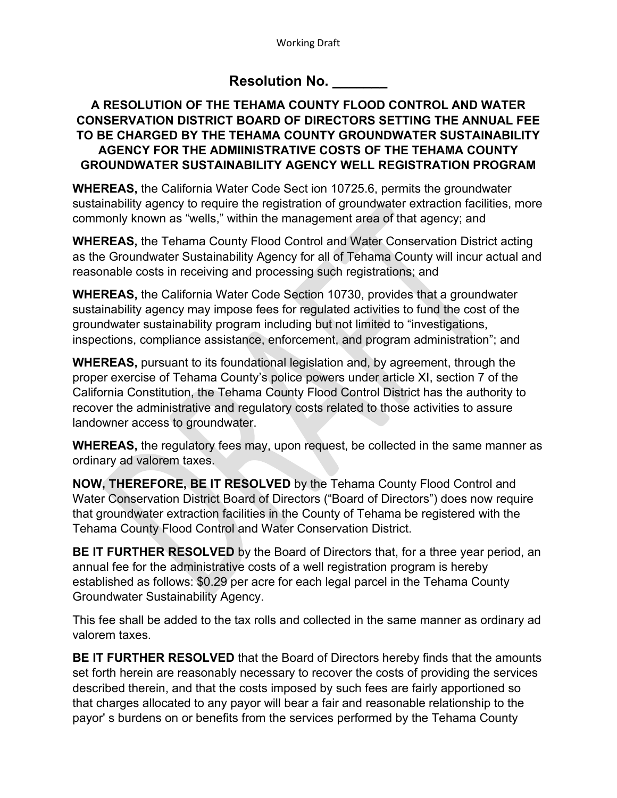## **Resolution No. \_\_\_\_\_\_\_**

## **A RESOLUTION OF THE TEHAMA COUNTY FLOOD CONTROL AND WATER CONSERVATION DISTRICT BOARD OF DIRECTORS SETTING THE ANNUAL FEE TO BE CHARGED BY THE TEHAMA COUNTY GROUNDWATER SUSTAINABILITY AGENCY FOR THE ADMIINISTRATIVE COSTS OF THE TEHAMA COUNTY GROUNDWATER SUSTAINABILITY AGENCY WELL REGISTRATION PROGRAM**

**WHEREAS,** the California Water Code Sect ion 10725.6, permits the groundwater sustainability agency to require the registration of groundwater extraction facilities, more commonly known as "wells," within the management area of that agency; and

**WHEREAS,** the Tehama County Flood Control and Water Conservation District acting as the Groundwater Sustainability Agency for all of Tehama County will incur actual and reasonable costs in receiving and processing such registrations; and

**WHEREAS,** the California Water Code Section 10730, provides that a groundwater sustainability agency may impose fees for regulated activities to fund the cost of the groundwater sustainability program including but not limited to "investigations, inspections, compliance assistance, enforcement, and program administration"; and

**WHEREAS,** pursuant to its foundational legislation and, by agreement, through the proper exercise of Tehama County's police powers under article XI, section 7 of the California Constitution, the Tehama County Flood Control District has the authority to recover the administrative and regulatory costs related to those activities to assure landowner access to groundwater.

**WHEREAS,** the regulatory fees may, upon request, be collected in the same manner as ordinary ad valorem taxes.

**NOW, THEREFORE, BE IT RESOLVED** by the Tehama County Flood Control and Water Conservation District Board of Directors ("Board of Directors") does now require that groundwater extraction facilities in the County of Tehama be registered with the Tehama County Flood Control and Water Conservation District.

**BE IT FURTHER RESOLVED** by the Board of Directors that, for a three year period, an annual fee for the administrative costs of a well registration program is hereby established as follows: \$0.29 per acre for each legal parcel in the Tehama County Groundwater Sustainability Agency.

This fee shall be added to the tax rolls and collected in the same manner as ordinary ad valorem taxes.

**BE IT FURTHER RESOLVED** that the Board of Directors hereby finds that the amounts set forth herein are reasonably necessary to recover the costs of providing the services described therein, and that the costs imposed by such fees are fairly apportioned so that charges allocated to any payor will bear a fair and reasonable relationship to the payor' s burdens on or benefits from the services performed by the Tehama County